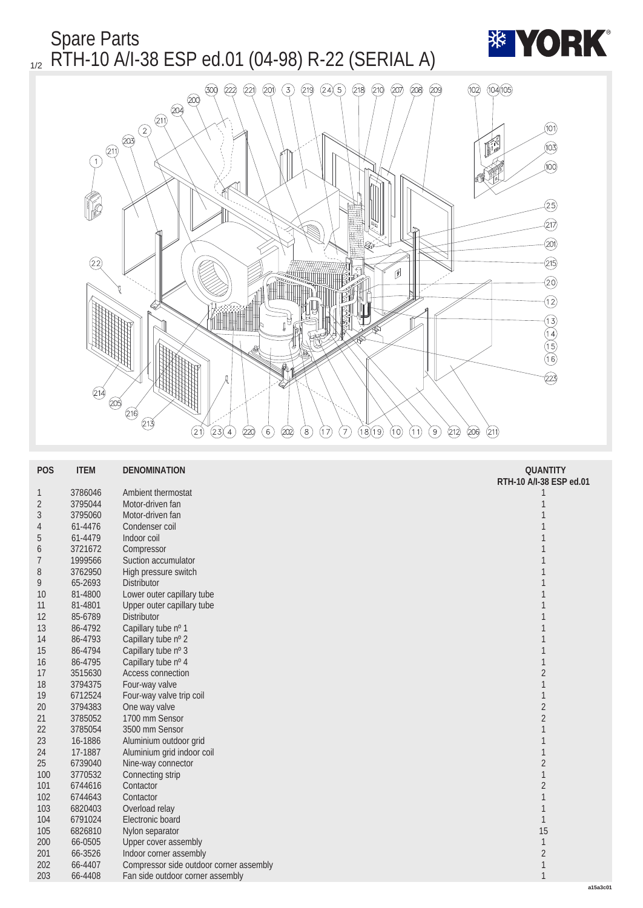

| <b>POS</b>       | <b>ITEM</b> | <b>DENOMINATION</b>                    | <b>QUANTITY</b>         |
|------------------|-------------|----------------------------------------|-------------------------|
|                  |             |                                        | RTH-10 A/I-38 ESP ed.01 |
| $\mathbf{1}$     | 3786046     | Ambient thermostat                     | 1                       |
| $\sqrt{2}$       | 3795044     | Motor-driven fan                       |                         |
| $\boldsymbol{3}$ | 3795060     | Motor-driven fan                       |                         |
| 4                | 61-4476     | Condenser coil                         |                         |
| $\sqrt{5}$       | 61-4479     | Indoor coil                            |                         |
| 6                | 3721672     | Compressor                             |                         |
| 7                | 1999566     | Suction accumulator                    |                         |
| 8                | 3762950     | High pressure switch                   |                         |
| 9                | 65-2693     | <b>Distributor</b>                     |                         |
| <b>10</b>        | 81-4800     | Lower outer capillary tube             |                         |
| 11               | 81-4801     | Upper outer capillary tube             |                         |
| 12               | 85-6789     | <b>Distributor</b>                     |                         |
| 13               | 86-4792     | Capillary tube nº 1                    |                         |
| 14               | 86-4793     | Capillary tube nº 2                    |                         |
| 15               | 86-4794     | Capillary tube nº 3                    |                         |
| 16               | 86-4795     | Capillary tube nº 4                    | 1                       |
| 17               | 3515630     | <b>Access connection</b>               | $\boldsymbol{2}$        |
| 18               | 3794375     | Four-way valve                         |                         |
| 19               | 6712524     | Four-way valve trip coil               | 1                       |
| 20               | 3794383     | One way valve                          | $\overline{\mathbf{c}}$ |
| 21               | 3785052     | 1700 mm Sensor                         | $\overline{\mathbf{c}}$ |
| 22               | 3785054     | 3500 mm Sensor                         | 1                       |
| 23               | 16-1886     | Aluminium outdoor grid                 |                         |
| 24               | 17-1887     | Aluminium grid indoor coil             |                         |
| 25               | 6739040     | Nine-way connector                     | $\boldsymbol{2}$        |
| 100              | 3770532     | Connecting strip                       | 1                       |
| 101              | 6744616     | Contactor                              | $\boldsymbol{2}$        |
| 102              | 6744643     | Contactor                              |                         |
| 103              | 6820403     | Overload relay                         | 1                       |
| 104              | 6791024     | Electronic board                       | $\mathbf{1}$            |
| 105              | 6826810     | Nylon separator                        | 15                      |
| 200              | 66-0505     | <b>Upper cover assembly</b>            | 1                       |
| 201              | 66-3526     | Indoor corner assembly                 | $\boldsymbol{2}$        |
| 202              | 66-4407     | Compressor side outdoor comer assembly | $\mathbf{1}$            |
| 203              | 66-4408     | Fan side outdoor corner assembly       | $\mathbf{1}$            |
|                  |             |                                        |                         |